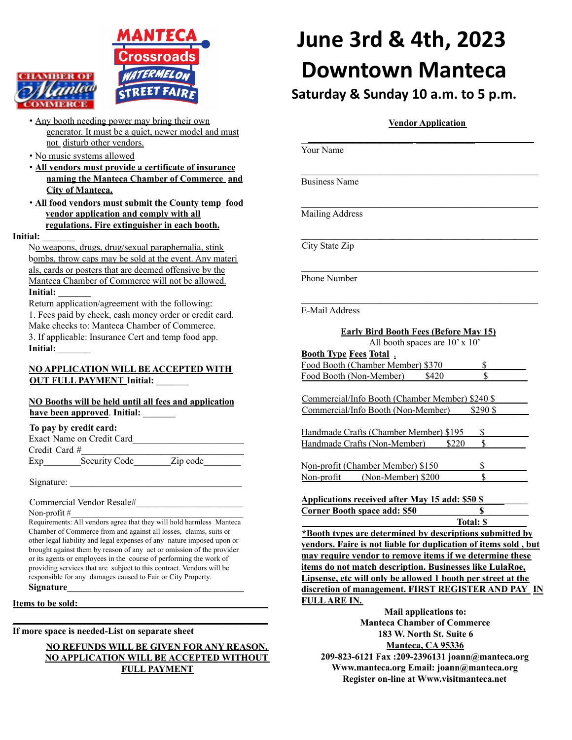



- Any booth needing power may bring their own generator. It must be a quiet, newer model and must not disturb other vendors.
- No music systems allowed
- **All vendors must provide a certificate of insurance naming the Manteca Chamber of Commerce and City of Manteca.**
- **All food vendors must submit the County temp food vendor application and comply with all regulations. Fire extinguisher in each booth.**
- **Initial: \_\_\_\_\_\_\_**

No weapons, drugs, drug/sexual paraphernalia, stink bombs, throw caps may be sold at the event. Any materi als, cards or posters that are deemed offensive by the Manteca Chamber of Commerce will not be allowed. **Initial: \_\_\_\_\_\_\_**

Return application/agreement with the following: 1. Fees paid by check, cash money order or credit card. Make checks to: Manteca Chamber of Commerce. 3. If applicable: Insurance Cert and temp food app. **Initial: \_\_\_\_\_\_\_**

**NO APPLICATION WILL BE ACCEPTED WITH OUT FULL PAYMENT Initial: \_\_\_\_\_\_\_**

### **NO Booths will be held until all fees and application have been approved**. **Initial: \_\_\_\_\_\_\_**

#### **To pay by credit card:**

|                 | Exact Name on Credit Card |          |  |
|-----------------|---------------------------|----------|--|
| Credit Card $#$ |                           |          |  |
| Exp             | Security Code             | Zip code |  |

Signature:

Commercial Vendor Resale#\_\_\_\_\_\_\_\_\_\_\_\_\_\_\_\_\_\_\_\_\_\_\_

Non-profit  $#_2$ 

Requirements: All vendors agree that they will hold harmless Manteca Chamber of Commerce from and against all losses, claims, suits or other legal liability and legal expenses of any nature imposed upon or brought against them by reason of any act or omission of the provider or its agents or employees in the course of performing the work of providing services that are subject to this contract. Vendors will be responsible for any damages caused to Fair or City Property. **Signature\_\_\_\_\_\_\_\_\_\_\_\_\_\_\_\_\_\_\_\_\_\_\_\_\_\_\_\_\_\_\_\_\_\_\_\_\_\_**

**\_\_\_\_\_\_\_\_\_\_\_\_\_\_\_\_\_\_\_\_\_\_\_\_\_\_\_\_\_\_\_\_\_\_\_\_\_\_\_\_\_\_\_\_\_\_\_\_\_\_\_\_\_\_\_**

**Items to be sold:\_\_\_\_\_\_\_\_\_\_\_\_\_\_\_\_\_\_\_\_\_\_\_\_\_\_\_\_\_\_\_\_\_\_\_\_\_\_\_\_\_**

**If more space is needed-List on separate sheet**

### **NO REFUNDS WILL BE GIVEN FOR ANY REASON. NO APPLICATION WILL BE ACCEPTED WITHOUT FULL PAYMENT**

# **June 3rd & 4th, 2023 Downtown Manteca**

**Saturday & Sunday 10 a.m. to 5 p.m.**

## **Vendor Application**

| Your Name                                                       |           |  |  |  |
|-----------------------------------------------------------------|-----------|--|--|--|
| <b>Business Name</b>                                            |           |  |  |  |
| Mailing Address                                                 |           |  |  |  |
| City State Zip                                                  |           |  |  |  |
| Phone Number                                                    |           |  |  |  |
| E-Mail Address                                                  |           |  |  |  |
| <b>Early Bird Booth Fees (Before May 15)</b>                    |           |  |  |  |
| All booth spaces are 10' x 10'                                  |           |  |  |  |
| <b>Booth Type Fees Total.</b>                                   |           |  |  |  |
| Food Booth (Chamber Member) \$370                               | \$        |  |  |  |
| Food Booth (Non-Member)<br>\$420                                | \$        |  |  |  |
|                                                                 |           |  |  |  |
| Commercial/Info Booth (Chamber Member) \$240 \$                 |           |  |  |  |
| Commercial/Info Booth (Non-Member)                              | \$290\$   |  |  |  |
|                                                                 |           |  |  |  |
| Handmade Crafts (Chamber Member) \$195                          | \$        |  |  |  |
| Handmade Crafts (Non-Member)<br>\$220                           | \$        |  |  |  |
|                                                                 |           |  |  |  |
| Non-profit (Chamber Member) \$150                               | \$        |  |  |  |
| (Non-Member) \$200<br>Non-profit                                | \$        |  |  |  |
|                                                                 |           |  |  |  |
| <b>Applications received after May 15 add: \$50 \$</b>          |           |  |  |  |
| <b>Corner Booth space add: \$50</b>                             | \$        |  |  |  |
|                                                                 | Total: \$ |  |  |  |
| *Booth types are determined by descriptions submitted by        |           |  |  |  |
| vendors. Faire is not liable for duplication of items sold, but |           |  |  |  |
| may require vendor to remove items if we determine these        |           |  |  |  |
| items do not match description. Businesses like LulaRoe,        |           |  |  |  |
| Lipsense, etc will only be allowed 1 booth per street at the    |           |  |  |  |
| discretion of management. FIRST REGISTER AND PAY IN             |           |  |  |  |
| <b>FULLARE IN.</b>                                              |           |  |  |  |
| Mail applications to:                                           |           |  |  |  |

**Manteca Chamber of Commerce 183 W. North St. Suite 6 Manteca, CA 95336 209-823-6121 Fax :209-2396131 joann@manteca.org Www.manteca.org Email: joann@manteca.org Register on-line at Www.visitmanteca.net**